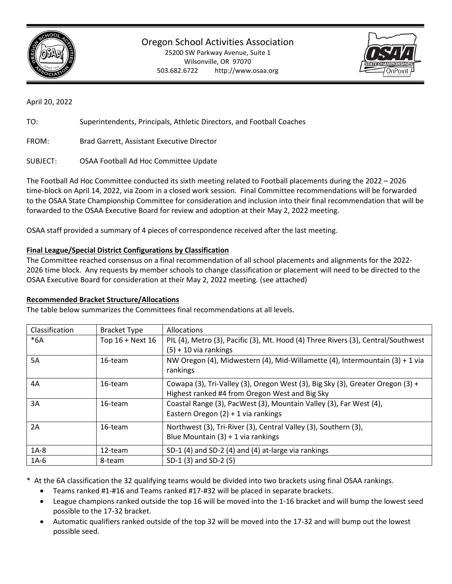

Oregon School Activities Association

25200 SW Parkway Avenue, Suite 1 Wilsonville, OR 97070 503.682.6722 http://www.osaa.org



April 20, 2022

TO: Superintendents, Principals, Athletic Directors, and Football Coaches

FROM: Brad Garrett, Assistant Executive Director

SUBJECT: OSAA Football Ad Hoc Committee Update

The Football Ad Hoc Committee conducted its sixth meeting related to Football placements during the 2022 – 2026 time-block on April 14, 2022, via Zoom in a closed work session. Final Committee recommendations will be forwarded to the OSAA State Championship Committee for consideration and inclusion into their final recommendation that will be forwarded to the OSAA Executive Board for review and adoption at their May 2, 2022 meeting.

OSAA staff provided a summary of 4 pieces of correspondence received after the last meeting.

# **Final League/Special District Configurations by Classification**

The Committee reached consensus on a final recommendation of all school placements and alignments for the 2022- 2026 time block. Any requests by member schools to change classification or placement will need to be directed to the OSAA Executive Board for consideration at their May 2, 2022 meeting. (see attached)

### **Recommended Bracket Structure/Allocations**

The table below summarizes the Committees final recommendations at all levels.

| Classification | <b>Bracket Type</b> | <b>Allocations</b>                                                                |
|----------------|---------------------|-----------------------------------------------------------------------------------|
| $*6A$          | Top 16 + Next 16    | PIL (4), Metro (3), Pacific (3), Mt. Hood (4) Three Rivers (3), Central/Southwest |
|                |                     | $(5) + 10$ via rankings                                                           |
| 5A             | 16-team             | NW Oregon (4), Midwestern (4), Mid-Willamette (4), Intermountain (3) + 1 via      |
|                |                     | rankings                                                                          |
| 4A             | 16-team             | Cowapa (3), Tri-Valley (3), Oregon West (3), Big Sky (3), Greater Oregon (3) +    |
|                |                     | Highest ranked #4 from Oregon West and Big Sky                                    |
| 3A             | 16-team             | Coastal Range (3), PacWest (3), Mountain Valley (3), Far West (4),                |
|                |                     | Eastern Oregon $(2) + 1$ via rankings                                             |
| 2A             | 16-team             | Northwest (3), Tri-River (3), Central Valley (3), Southern (3),                   |
|                |                     | Blue Mountain $(3) + 1$ via rankings                                              |
| $1A-8$         | 12-team             | SD-1 (4) and SD-2 (4) and (4) at-large via rankings                               |
| $1A-6$         | 8-team              | SD-1 (3) and SD-2 (5)                                                             |

\* At the 6A classification the 32 qualifying teams would be divided into two brackets using final OSAA rankings.

- Teams ranked #1-#16 and Teams ranked #17-#32 will be placed in separate brackets.
- League champions ranked outside the top 16 will be moved into the 1-16 bracket and will bump the lowest seed possible to the 17-32 bracket.
- Automatic qualifiers ranked outside of the top 32 will be moved into the 17-32 and will bump out the lowest possible seed.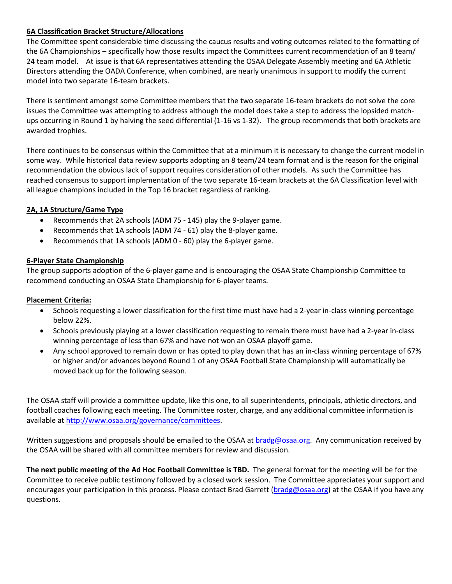## **6A Classification Bracket Structure/Allocations**

The Committee spent considerable time discussing the caucus results and voting outcomes related to the formatting of the 6A Championships – specifically how those results impact the Committees current recommendation of an 8 team/ 24 team model. At issue is that 6A representatives attending the OSAA Delegate Assembly meeting and 6A Athletic Directors attending the OADA Conference, when combined, are nearly unanimous in support to modify the current model into two separate 16-team brackets.

There is sentiment amongst some Committee members that the two separate 16-team brackets do not solve the core issues the Committee was attempting to address although the model does take a step to address the lopsided matchups occurring in Round 1 by halving the seed differential (1-16 vs 1-32). The group recommends that both brackets are awarded trophies.

There continues to be consensus within the Committee that at a minimum it is necessary to change the current model in some way. While historical data review supports adopting an 8 team/24 team format and is the reason for the original recommendation the obvious lack of support requires consideration of other models. As such the Committee has reached consensus to support implementation of the two separate 16-team brackets at the 6A Classification level with all league champions included in the Top 16 bracket regardless of ranking.

# **2A, 1A Structure/Game Type**

- Recommends that 2A schools (ADM 75 145) play the 9-player game.
- Recommends that 1A schools (ADM 74 61) play the 8-player game.
- Recommends that 1A schools (ADM 0 60) play the 6-player game.

# **6-Player State Championship**

The group supports adoption of the 6-player game and is encouraging the OSAA State Championship Committee to recommend conducting an OSAA State Championship for 6-player teams.

# **Placement Criteria:**

- Schools requesting a lower classification for the first time must have had a 2-year in-class winning percentage below 22%.
- Schools previously playing at a lower classification requesting to remain there must have had a 2-year in-class winning percentage of less than 67% and have not won an OSAA playoff game.
- Any school approved to remain down or has opted to play down that has an in-class winning percentage of 67% or higher and/or advances beyond Round 1 of any OSAA Football State Championship will automatically be moved back up for the following season.

The OSAA staff will provide a committee update, like this one, to all superintendents, principals, athletic directors, and football coaches following each meeting. The Committee roster, charge, and any additional committee information is available a[t http://www.osaa.org/governance/committees.](http://www.osaa.org/governance/committees)

Written suggestions and proposals should be emailed to the OSAA at **bradg@osaa.org.** Any communication received by the OSAA will be shared with all committee members for review and discussion.

**The next public meeting of the Ad Hoc Football Committee is TBD.** The general format for the meeting will be for the Committee to receive public testimony followed by a closed work session.The Committee appreciates your support and encourages your participation in this process. Please contact Brad Garrett [\(bradg@osaa.org\)](mailto:bradg@osaa.org) at the OSAA if you have any questions.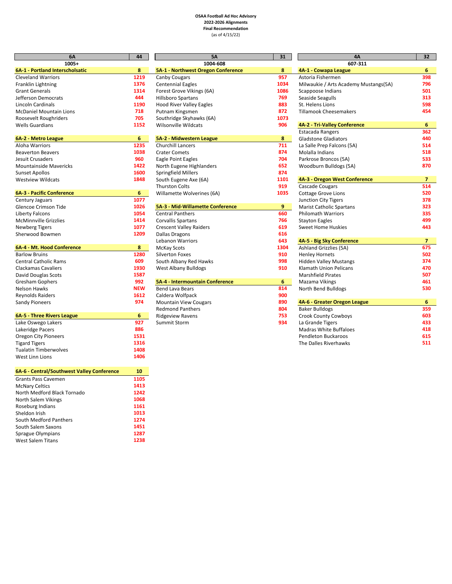#### **OSAA Football Ad Hoc Advisory 2022-2026 Alignments Final Recommendation** (as of 4/15/22)

| 6A                                               | 44         | <b>5A</b>                          | 31   |
|--------------------------------------------------|------------|------------------------------------|------|
| 1005+                                            |            | 1004-608                           |      |
| 6A-1 - Portland Interscholsatic                  | 8          | 5A-1 - Northwest Oregon Conference | 8    |
| <b>Cleveland Warriors</b>                        | 1219       | Canby Cougars                      | 957  |
| Franklin Lightning                               | 1376       | <b>Centennial Eagles</b>           | 1034 |
| <b>Grant Generals</b>                            | 1314       | Forest Grove Vikings (6A)          | 1086 |
| Jefferson Democrats                              | 444        | <b>Hillsboro Spartans</b>          | 769  |
| Lincoln Cardinals                                | 1190       | <b>Hood River Valley Eagles</b>    | 883  |
| <b>McDaniel Mountain Lions</b>                   | 718        | Putnam Kingsmen                    | 872  |
| Roosevelt Roughriders                            | 705        | Southridge Skyhawks (6A)           | 1073 |
| <b>Wells Guardians</b>                           | 1152       | <b>Wilsonville Wildcats</b>        | 906  |
| 6A-2 - Metro League                              | 6          | 5A-2 - Midwestern League           | 8    |
| <b>Aloha Warriors</b>                            | 1235       | <b>Churchill Lancers</b>           | 711  |
| <b>Beaverton Beavers</b>                         | 1038       | <b>Crater Comets</b>               | 874  |
| Jesuit Crusaders                                 | 960        | Eagle Point Eagles                 | 704  |
| <b>Mountainside Mavericks</b>                    | 1422       | North Eugene Highlanders           | 652  |
| <b>Sunset Apollos</b>                            | 1600       | <b>Springfield Millers</b>         | 874  |
| <b>Westview Wildcats</b>                         | 1848       | South Eugene Axe (6A)              | 1101 |
|                                                  |            | <b>Thurston Colts</b>              | 919  |
| <b>6A-3 - Pacific Conference</b>                 | 6          | Willamette Wolverines (6A)         | 1035 |
| Century Jaguars                                  | 1077       |                                    |      |
| Glencoe Crimson Tide                             | 1026       | 5A-3 - Mid-Willamette Conference   | 9    |
| <b>Liberty Falcons</b>                           | 1054       | <b>Central Panthers</b>            | 660  |
| <b>McMinnville Grizzlies</b>                     | 1414       | <b>Corvallis Spartans</b>          | 766  |
| <b>Newberg Tigers</b>                            | 1077       | <b>Crescent Valley Raiders</b>     | 619  |
| Sherwood Bowmen                                  | 1209       | Dallas Dragons                     | 616  |
|                                                  |            | <b>Lebanon Warriors</b>            | 643  |
| 6A-4 - Mt. Hood Conference                       | 8          | <b>McKay Scots</b>                 | 1304 |
| <b>Barlow Bruins</b>                             | 1280       | <b>Silverton Foxes</b>             | 910  |
| <b>Central Catholic Rams</b>                     | 609        | South Albany Red Hawks             | 998  |
| <b>Clackamas Cavaliers</b>                       | 1930       | West Albany Bulldogs               | 910  |
| David Douglas Scots                              | 1587       |                                    |      |
| <b>Gresham Gophers</b>                           | 992        | 5A-4 - Intermountain Conference    | 6    |
| <b>Nelson Hawks</b>                              | <b>NEW</b> | <b>Bend Lava Bears</b>             | 814  |
| <b>Reynolds Raiders</b>                          | 1612       | Caldera Wolfpack                   | 900  |
| <b>Sandy Pioneers</b>                            | 974        | <b>Mountain View Cougars</b>       | 890  |
|                                                  |            | <b>Redmond Panthers</b>            | 804  |
| <b>6A-5 - Three Rivers League</b>                | 6          | <b>Ridgeview Ravens</b>            | 753  |
| Lake Oswego Lakers                               | 927        | Summit Storm                       | 934  |
| Lakeridge Pacers                                 | 886        |                                    |      |
| <b>Oregon City Pioneers</b>                      | 1531       |                                    |      |
| <b>Tigard Tigers</b>                             | 1316       |                                    |      |
| <b>Tualatin Timberwolves</b>                     | 1408       |                                    |      |
| West Linn Lions                                  | 1406       |                                    |      |
| <b>EA.E.</b> Control/Southwest Valley Conference | 10         |                                    |      |

| 10   |
|------|
| 1105 |
| 1413 |
| 1242 |
| 1068 |
| 1161 |
| 1013 |
| 1274 |
| 1451 |
| 1287 |
| 1238 |
|      |

| 6A<br>1005+ | 44         | <b>5A</b><br>1004-608                   | 31   | 4A<br>607-311                   |
|-------------|------------|-----------------------------------------|------|---------------------------------|
| scholsatic  | 8          | 5A-1 - Northwest Oregon Conference      | 8    | 4A-1 - Cowapa League            |
|             | 1219       |                                         | 957  | Astoria Fishermen               |
|             | 1376       | Canby Cougars                           | 1034 |                                 |
|             |            | <b>Centennial Eagles</b>                |      | Milwaukie / Arts Academy Mi     |
|             | 1314       | Forest Grove Vikings (6A)               | 1086 | Scappoose Indians               |
|             | 444        | <b>Hillsboro Spartans</b>               | 769  | Seaside Seagulls                |
|             | 1190       | <b>Hood River Valley Eagles</b>         | 883  | St. Helens Lions                |
| .ions       | 718        | Putnam Kingsmen                         | 872  | <b>Tillamook Cheesemakers</b>   |
| ٢Ś.         | 705        | Southridge Skyhawks (6A)                | 1073 |                                 |
|             | 1152       | <b>Wilsonville Wildcats</b>             | 906  | 4A-2 - Tri-Valley Conference    |
|             |            |                                         |      | Estacada Rangers                |
|             | 6          | 5A-2 - Midwestern League                | 8    | <b>Gladstone Gladiators</b>     |
|             | 1235       | <b>Churchill Lancers</b>                | 711  | La Salle Prep Falcons (5A)      |
|             | 1038       | <b>Crater Comets</b>                    | 874  | Molalla Indians                 |
|             | 960        | <b>Eagle Point Eagles</b>               | 704  | Parkrose Broncos (5A)           |
| icks        | 1422       | North Eugene Highlanders                | 652  | Woodburn Bulldogs (5A)          |
|             | 1600       | <b>Springfield Millers</b>              | 874  |                                 |
|             | 1848       | South Eugene Axe (6A)                   | 1101 | 4A-3 - Oregon West Conferen     |
|             |            | <b>Thurston Colts</b>                   | 919  | Cascade Cougars                 |
| ence        | 6          | Willamette Wolverines (6A)              | 1035 | <b>Cottage Grove Lions</b>      |
|             | 1077       |                                         |      | Junction City Tigers            |
|             | 1026       | <b>5A-3 - Mid-Willamette Conference</b> | 9    | <b>Marist Catholic Spartans</b> |
|             | 1054       | <b>Central Panthers</b>                 | 660  | <b>Philomath Warriors</b>       |
|             | 1414       | Corvallis Spartans                      | 766  | <b>Stayton Eagles</b>           |
|             | 1077       | <b>Crescent Valley Raiders</b>          | 619  | <b>Sweet Home Huskies</b>       |
|             | 1209       | <b>Dallas Dragons</b>                   | 616  |                                 |
|             |            | <b>Lebanon Warriors</b>                 | 643  | 4A-5 - Big Sky Conference       |
| erence      | 8          | <b>McKay Scots</b>                      | 1304 | Ashland Grizzlies (5A)          |
|             | 1280       | <b>Silverton Foxes</b>                  | 910  | <b>Henley Hornets</b>           |
|             | 609        | South Albany Red Hawks                  | 998  | <b>Hidden Valley Mustangs</b>   |
|             | 1930       | West Albany Bulldogs                    | 910  | Klamath Union Pelicans          |
|             | 1587       |                                         |      | <b>Marshfield Pirates</b>       |
|             | 992        | 5A-4 - Intermountain Conference         | 6    | Mazama Vikings                  |
|             | <b>NEW</b> | <b>Bend Lava Bears</b>                  | 814  | North Bend Bulldogs             |
|             | 1612       | Caldera Wolfpack                        | 900  |                                 |
|             | 974        | <b>Mountain View Cougars</b>            | 890  | 4A-6 - Greater Oregon League    |
|             |            | <b>Redmond Panthers</b>                 | 804  | <b>Baker Bulldogs</b>           |
| eague       | 6          | <b>Ridgeview Ravens</b>                 | 753  | Crook County Cowboys            |
|             | 927        | Summit Storm                            | 934  | La Grande Tigers                |
|             | ---        |                                         |      | .                               |

| 6A                               | 44         | <b>5A</b>                          | 31   | 4A                                    | 32 <sub>2</sub> |
|----------------------------------|------------|------------------------------------|------|---------------------------------------|-----------------|
| $1005+$                          |            | 1004-608                           |      | 607-311                               |                 |
| 6A-1 - Portland Interscholsatic  | 8          | 5A-1 - Northwest Oregon Conference | 8    | 4A-1 - Cowapa League                  | 6               |
| <b>Cleveland Warriors</b>        | 1219       | <b>Canby Cougars</b>               | 957  | Astoria Fishermen                     | 398             |
| Franklin Lightning               | 1376       | <b>Centennial Eagles</b>           | 1034 | Milwaukie / Arts Academy Mustangs(5A) | 796             |
| <b>Grant Generals</b>            | 1314       | Forest Grove Vikings (6A)          | 1086 | Scappoose Indians                     | 501             |
| Jefferson Democrats              | 444        | <b>Hillsboro Spartans</b>          | 769  | Seaside Seagulls                      | 313             |
| Lincoln Cardinals                | 1190       | <b>Hood River Valley Eagles</b>    | 883  | St. Helens Lions                      | 598             |
| McDaniel Mountain Lions          | 718        | Putnam Kingsmen                    | 872  | <b>Tillamook Cheesemakers</b>         | 454             |
| Roosevelt Roughriders            | 705        | Southridge Skyhawks (6A)           | 1073 |                                       |                 |
| Wells Guardians                  | 1152       | <b>Wilsonville Wildcats</b>        | 906  | 4A-2 - Tri-Valley Conference          | 6               |
|                                  |            |                                    |      | <b>Estacada Rangers</b>               | 362             |
| 6A-2 - Metro League              | 6          | 5A-2 - Midwestern League           | 8    | <b>Gladstone Gladiators</b>           | 440             |
| Aloha Warriors                   | 1235       | <b>Churchill Lancers</b>           | 711  | La Salle Prep Falcons (5A)            | 514             |
| <b>Beaverton Beavers</b>         | 1038       | <b>Crater Comets</b>               | 874  | Molalla Indians                       | 518             |
| Jesuit Crusaders                 | 960        | Eagle Point Eagles                 | 704  | Parkrose Broncos (5A)                 | 533             |
| <b>Mountainside Mavericks</b>    | 1422       | North Eugene Highlanders           | 652  | Woodburn Bulldogs (5A)                | 870             |
| <b>Sunset Apollos</b>            | 1600       | <b>Springfield Millers</b>         | 874  |                                       |                 |
| Westview Wildcats                | 1848       | South Eugene Axe (6A)              | 1101 | 4A-3 - Oregon West Conference         | $\overline{7}$  |
|                                  |            | <b>Thurston Colts</b>              | 919  | <b>Cascade Cougars</b>                | 514             |
| <b>6A-3 - Pacific Conference</b> | 6          | Willamette Wolverines (6A)         | 1035 | <b>Cottage Grove Lions</b>            | 520             |
| Century Jaguars                  | 1077       |                                    |      | Junction City Tigers                  | 378             |
| Glencoe Crimson Tide             | 1026       | 5A-3 - Mid-Willamette Conference   | 9    | <b>Marist Catholic Spartans</b>       | 323             |
| Liberty Falcons                  | 1054       | <b>Central Panthers</b>            | 660  | <b>Philomath Warriors</b>             | 335             |
| McMinnville Grizzlies            | 1414       | <b>Corvallis Spartans</b>          | 766  | <b>Stayton Eagles</b>                 | 499             |
| Newberg Tigers                   | 1077       | <b>Crescent Valley Raiders</b>     | 619  | <b>Sweet Home Huskies</b>             | 443             |
| Sherwood Bowmen                  | 1209       | <b>Dallas Dragons</b>              | 616  |                                       |                 |
|                                  |            | <b>Lebanon Warriors</b>            | 643  | 4A-5 - Big Sky Conference             | 7               |
| 6A-4 - Mt. Hood Conference       | 8          | <b>McKay Scots</b>                 | 1304 | Ashland Grizzlies (5A)                | 675             |
| <b>Barlow Bruins</b>             | 1280       | <b>Silverton Foxes</b>             | 910  | <b>Henley Hornets</b>                 | 502             |
| <b>Central Catholic Rams</b>     | 609        | South Albany Red Hawks             | 998  | <b>Hidden Valley Mustangs</b>         | 374             |
| Clackamas Cavaliers              | 1930       | West Albany Bulldogs               | 910  | <b>Klamath Union Pelicans</b>         | 470             |
| David Douglas Scots              | 1587       |                                    |      | <b>Marshfield Pirates</b>             | 507             |
| Gresham Gophers                  | 992        | 5A-4 - Intermountain Conference    | 6    | Mazama Vikings                        | 461             |
| Nelson Hawks                     | <b>NEW</b> | <b>Bend Lava Bears</b>             | 814  | North Bend Bulldogs                   | 530             |
| <b>Reynolds Raiders</b>          | 1612       | Caldera Wolfpack                   | 900  |                                       |                 |
| Sandy Pioneers                   | 974        | <b>Mountain View Cougars</b>       | 890  | 4A-6 - Greater Oregon League          | 6               |
|                                  |            | <b>Redmond Panthers</b>            | 804  | <b>Baker Bulldogs</b>                 | 359             |
| 6A-5 - Three Rivers League       | 6          | <b>Ridgeview Ravens</b>            | 753  | <b>Crook County Cowboys</b>           | 603             |
| Lake Oswego Lakers               | 927        | Summit Storm                       | 934  | La Grande Tigers                      | 433             |
|                                  |            |                                    |      |                                       |                 |
| Lakeridge Pacers                 | 886        |                                    |      | <b>Madras White Buffaloes</b>         | 418             |
| <b>Oregon City Pioneers</b>      | 1531       |                                    |      | <b>Pendleton Buckaroos</b>            | 615             |